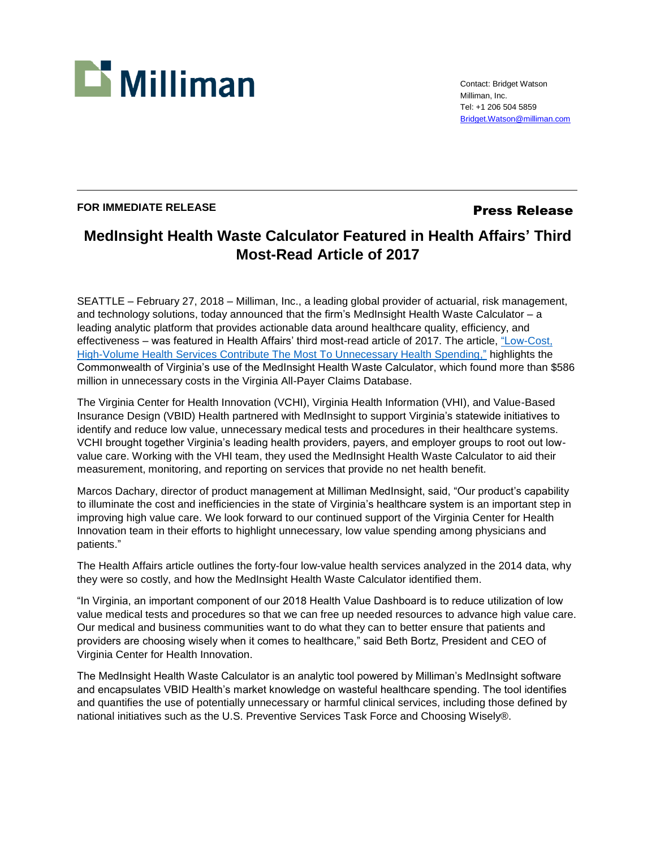

Contact: Bridget Watson Milliman, Inc. Tel: +1 206 504 5859 [Bridget.Watson@milliman.com](mailto:Bridget.Watson@milliman.com)

## **FOR IMMEDIATE RELEASE Press Release**

## **MedInsight Health Waste Calculator Featured in Health Affairs' Third Most-Read Article of 2017**

SEATTLE – February 27, 2018 – Milliman, Inc., a leading global provider of actuarial, risk management, and technology solutions, today announced that the firm's MedInsight Health Waste Calculator – a leading analytic platform that provides actionable data around healthcare quality, efficiency, and effectiveness – was featured in Health Affairs' third most-read article of 2017. The article, ["Low-Cost,](https://www.healthaffairs.org/doi/10.1377/hlthaff.2017.0385)  [High-Volume Health Services Contribute The Most To Unnecessary Health Spending,"](https://www.healthaffairs.org/doi/10.1377/hlthaff.2017.0385) highlights the Commonwealth of Virginia's use of the MedInsight Health Waste Calculator, which found more than \$586 million in unnecessary costs in the Virginia All-Payer Claims Database.

The Virginia Center for Health Innovation (VCHI), Virginia Health Information (VHI), and Value-Based Insurance Design (VBID) Health partnered with MedInsight to support Virginia's statewide initiatives to identify and reduce low value, unnecessary medical tests and procedures in their healthcare systems. VCHI brought together Virginia's leading health providers, payers, and employer groups to root out lowvalue care. Working with the VHI team, they used the MedInsight Health Waste Calculator to aid their measurement, monitoring, and reporting on services that provide no net health benefit.

Marcos Dachary, director of product management at Milliman MedInsight, said, "Our product's capability to illuminate the cost and inefficiencies in the state of Virginia's healthcare system is an important step in improving high value care. We look forward to our continued support of the Virginia Center for Health Innovation team in their efforts to highlight unnecessary, low value spending among physicians and patients."

The Health Affairs article outlines the forty-four low-value health services analyzed in the 2014 data, why they were so costly, and how the MedInsight Health Waste Calculator identified them.

"In Virginia, an important component of our 2018 Health Value Dashboard is to reduce utilization of low value medical tests and procedures so that we can free up needed resources to advance high value care. Our medical and business communities want to do what they can to better ensure that patients and providers are choosing wisely when it comes to healthcare," said Beth Bortz, President and CEO of Virginia Center for Health Innovation.

The MedInsight Health Waste Calculator is an analytic tool powered by Milliman's MedInsight software and encapsulates VBID Health's market knowledge on wasteful healthcare spending. The tool identifies and quantifies the use of potentially unnecessary or harmful clinical services, including those defined by national initiatives such as the U.S. Preventive Services Task Force and Choosing Wisely®.